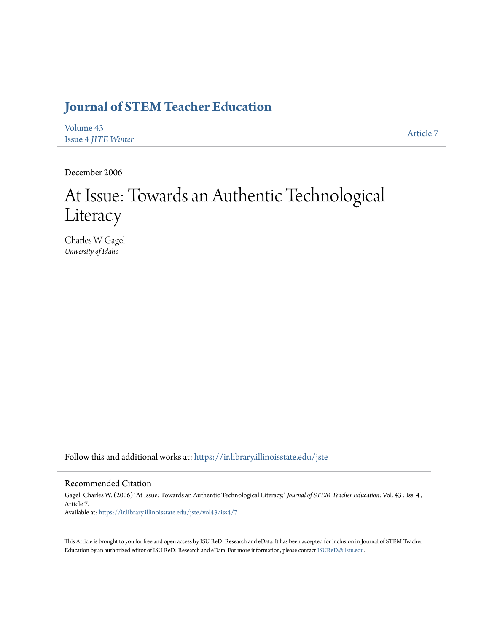# **[Journal of STEM Teacher Education](https://ir.library.illinoisstate.edu/jste?utm_source=ir.library.illinoisstate.edu%2Fjste%2Fvol43%2Fiss4%2F7&utm_medium=PDF&utm_campaign=PDFCoverPages)**

| Volume 43                  | Article 7 |
|----------------------------|-----------|
| <b>Issue 4 JITE Winter</b> |           |

December 2006

# At Issue: Towards an Authentic Technological Literacy

Charles W. Gagel *University of Idaho*

Follow this and additional works at: [https://ir.library.illinoisstate.edu/jste](https://ir.library.illinoisstate.edu/jste?utm_source=ir.library.illinoisstate.edu%2Fjste%2Fvol43%2Fiss4%2F7&utm_medium=PDF&utm_campaign=PDFCoverPages)

# Recommended Citation

Gagel, Charles W. (2006) "At Issue: Towards an Authentic Technological Literacy," *Journal of STEM Teacher Education*: Vol. 43 : Iss. 4 , Article 7. Available at: [https://ir.library.illinoisstate.edu/jste/vol43/iss4/7](https://ir.library.illinoisstate.edu/jste/vol43/iss4/7?utm_source=ir.library.illinoisstate.edu%2Fjste%2Fvol43%2Fiss4%2F7&utm_medium=PDF&utm_campaign=PDFCoverPages)

This Article is brought to you for free and open access by ISU ReD: Research and eData. It has been accepted for inclusion in Journal of STEM Teacher Education by an authorized editor of ISU ReD: Research and eData. For more information, please contact [ISUReD@ilstu.edu.](mailto:ISUReD@ilstu.edu)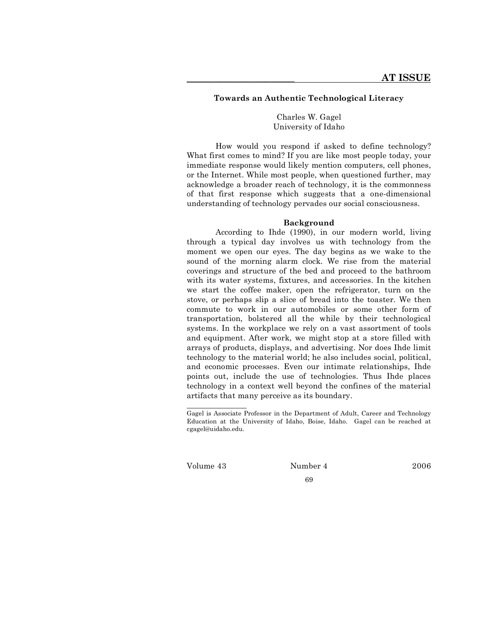# **Towards an Authentic Technological Literacy**

Charles W. Gagel University of Idaho

How would you respond if asked to define technology? What first comes to mind? If you are like most people today, your immediate response would likely mention computers, cell phones, or the Internet. While most people, when questioned further, may acknowledge a broader reach of technology, it is the commonness of that first response which suggests that a one-dimensional understanding of technology pervades our social consciousness.

#### **Background**

According to Ihde (1990), in our modern world, living through a typical day involves us with technology from the moment we open our eyes. The day begins as we wake to the sound of the morning alarm clock. We rise from the material coverings and structure of the bed and proceed to the bathroom with its water systems, fixtures, and accessories. In the kitchen we start the coffee maker, open the refrigerator, turn on the stove, or perhaps slip a slice of bread into the toaster. We then commute to work in our automobiles or some other form of transportation, bolstered all the while by their technological systems. In the workplace we rely on a vast assortment of tools and equipment. After work, we might stop at a store filled with arrays of products, displays, and advertising. Nor does Ihde limit technology to the material world; he also includes social, political, and economic processes. Even our intimate relationships, Ihde points out, include the use of technologies. Thus Ihde places technology in a context well beyond the confines of the material artifacts that many perceive as its boundary.

Gagel is Associate Professor in the Department of Adult, Career and Technology Education at the University of Idaho, Boise, Idaho. Gagel can be reached at cgagel@uidaho.edu.

\_\_\_\_\_\_\_\_\_\_\_\_\_\_\_

Volume 43 Number 4 2006

69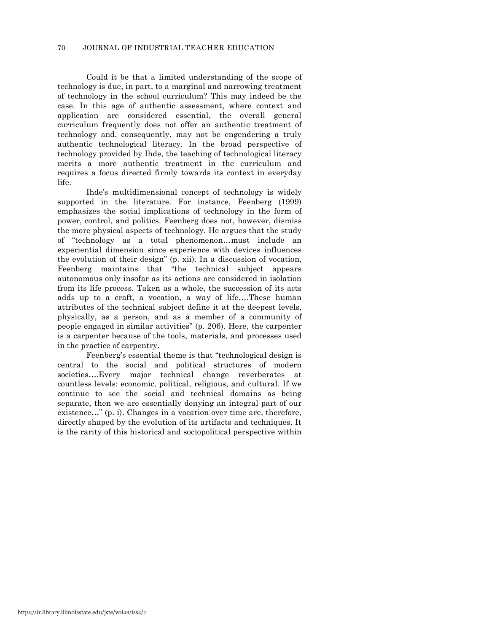Could it be that a limited understanding of the scope of technology is due, in part, to a marginal and narrowing treatment of technology in the school curriculum? This may indeed be the case. In this age of authentic assessment, where context and application are considered essential, the overall general curriculum frequently does not offer an authentic treatment of technology and, consequently, may not be engendering a truly authentic technological literacy. In the broad perspective of technology provided by Ihde, the teaching of technological literacy merits a more authentic treatment in the curriculum and requires a focus directed firmly towards its context in everyday life.

Ihde's multidimensional concept of technology is widely supported in the literature. For instance, Feenberg (1999) emphasizes the social implications of technology in the form of power, control, and politics. Feenberg does not, however, dismiss the more physical aspects of technology. He argues that the study of "technology as a total phenomenon…must include an experiential dimension since experience with devices influences the evolution of their design" (p. xii). In a discussion of vocation, Feenberg maintains that "the technical subject appears autonomous only insofar as its actions are considered in isolation from its life process. Taken as a whole, the succession of its acts adds up to a craft, a vocation, a way of life….These human attributes of the technical subject define it at the deepest levels, physically, as a person, and as a member of a community of people engaged in similar activities" (p. 206). Here, the carpenter is a carpenter because of the tools, materials, and processes used in the practice of carpentry.

Feenberg's essential theme is that "technological design is central to the social and political structures of modern societies….Every major technical change reverberates at countless levels: economic, political, religious, and cultural. If we continue to see the social and technical domains as being separate, then we are essentially denying an integral part of our existence…" (p. i). Changes in a vocation over time are, therefore, directly shaped by the evolution of its artifacts and techniques. It is the rarity of this historical and sociopolitical perspective within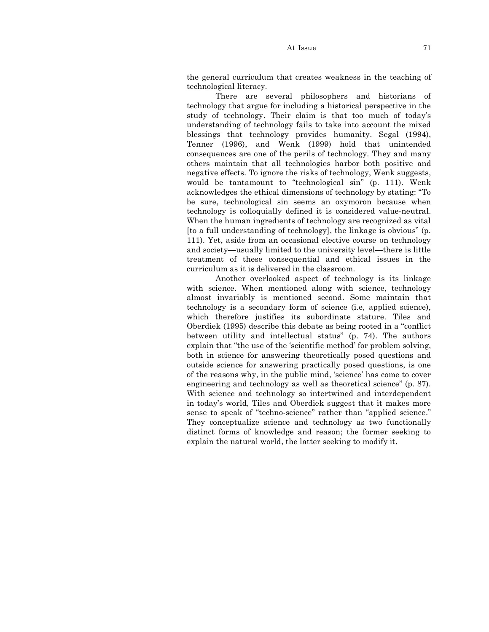At Issue 71

the general curriculum that creates weakness in the teaching of technological literacy.

There are several philosophers and historians of technology that argue for including a historical perspective in the study of technology. Their claim is that too much of today's understanding of technology fails to take into account the mixed blessings that technology provides humanity. Segal (1994), Tenner (1996), and Wenk (1999) hold that unintended consequences are one of the perils of technology. They and many others maintain that all technologies harbor both positive and negative effects. To ignore the risks of technology, Wenk suggests, would be tantamount to "technological sin" (p. 111). Wenk acknowledges the ethical dimensions of technology by stating: "To be sure, technological sin seems an oxymoron because when technology is colloquially defined it is considered value-neutral. When the human ingredients of technology are recognized as vital [to a full understanding of technology], the linkage is obvious" (p. 111). Yet, aside from an occasional elective course on technology and society—usually limited to the university level—there is little treatment of these consequential and ethical issues in the curriculum as it is delivered in the classroom.

Another overlooked aspect of technology is its linkage with science. When mentioned along with science, technology almost invariably is mentioned second. Some maintain that technology is a secondary form of science (i.e, applied science), which therefore justifies its subordinate stature. Tiles and Oberdiek (1995) describe this debate as being rooted in a "conflict between utility and intellectual status" (p. 74). The authors explain that "the use of the 'scientific method' for problem solving, both in science for answering theoretically posed questions and outside science for answering practically posed questions, is one of the reasons why, in the public mind, 'science' has come to cover engineering and technology as well as theoretical science" (p. 87). With science and technology so intertwined and interdependent in today's world, Tiles and Oberdiek suggest that it makes more sense to speak of "techno-science" rather than "applied science." They conceptualize science and technology as two functionally distinct forms of knowledge and reason; the former seeking to explain the natural world, the latter seeking to modify it.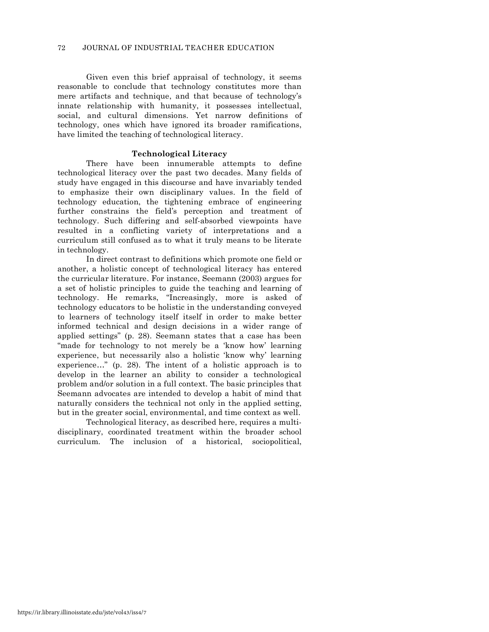Given even this brief appraisal of technology, it seems reasonable to conclude that technology constitutes more than mere artifacts and technique, and that because of technology's innate relationship with humanity, it possesses intellectual, social, and cultural dimensions. Yet narrow definitions of technology, ones which have ignored its broader ramifications, have limited the teaching of technological literacy.

## **Technological Literacy**

There have been innumerable attempts to define technological literacy over the past two decades. Many fields of study have engaged in this discourse and have invariably tended to emphasize their own disciplinary values. In the field of technology education, the tightening embrace of engineering further constrains the field's perception and treatment of technology. Such differing and self-absorbed viewpoints have resulted in a conflicting variety of interpretations and a curriculum still confused as to what it truly means to be literate in technology.

In direct contrast to definitions which promote one field or another, a holistic concept of technological literacy has entered the curricular literature. For instance, Seemann (2003) argues for a set of holistic principles to guide the teaching and learning of technology. He remarks, "Increasingly, more is asked of technology educators to be holistic in the understanding conveyed to learners of technology itself itself in order to make better informed technical and design decisions in a wider range of applied settings" (p. 28). Seemann states that a case has been "made for technology to not merely be a 'know how' learning experience, but necessarily also a holistic 'know why' learning experience…" (p. 28). The intent of a holistic approach is to develop in the learner an ability to consider a technological problem and/or solution in a full context. The basic principles that Seemann advocates are intended to develop a habit of mind that naturally considers the technical not only in the applied setting, but in the greater social, environmental, and time context as well.

Technological literacy, as described here, requires a multidisciplinary, coordinated treatment within the broader school curriculum. The inclusion of a historical, sociopolitical,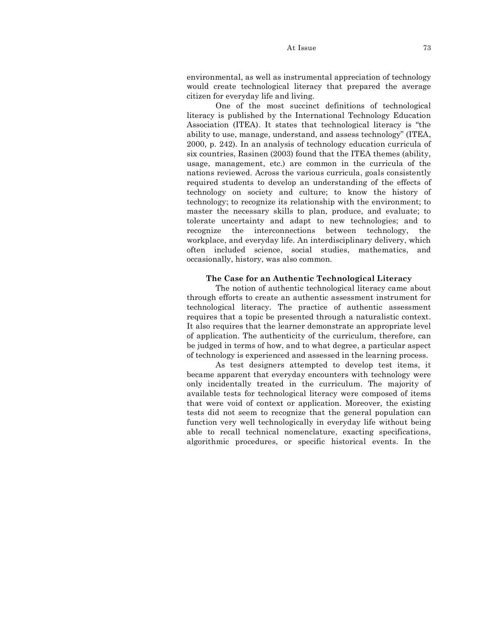#### At Issue 73

environmental, as well as instrumental appreciation of technology would create technological literacy that prepared the average citizen for everyday life and living.

One of the most succinct definitions of technological literacy is published by the International Technology Education Association (ITEA). It states that technological literacy is "the ability to use, manage, understand, and assess technology" (ITEA, 2000, p. 242). In an analysis of technology education curricula of six countries, Rasinen (2003) found that the ITEA themes (ability, usage, management, etc.) are common in the curricula of the nations reviewed. Across the various curricula, goals consistently required students to develop an understanding of the effects of technology on society and culture; to know the history of technology; to recognize its relationship with the environment; to master the necessary skills to plan, produce, and evaluate; to tolerate uncertainty and adapt to new technologies; and to recognize the interconnections between technology, the workplace, and everyday life. An interdisciplinary delivery, which often included science, social studies, mathematics, and occasionally, history, was also common.

#### **The Case for an Authentic Technological Literacy**

The notion of authentic technological literacy came about through efforts to create an authentic assessment instrument for technological literacy. The practice of authentic assessment requires that a topic be presented through a naturalistic context. It also requires that the learner demonstrate an appropriate level of application. The authenticity of the curriculum, therefore, can be judged in terms of how, and to what degree, a particular aspect of technology is experienced and assessed in the learning process.

As test designers attempted to develop test items, it became apparent that everyday encounters with technology were only incidentally treated in the curriculum. The majority of available tests for technological literacy were composed of items that were void of context or application. Moreover, the existing tests did not seem to recognize that the general population can function very well technologically in everyday life without being able to recall technical nomenclature, exacting specifications, algorithmic procedures, or specific historical events. In the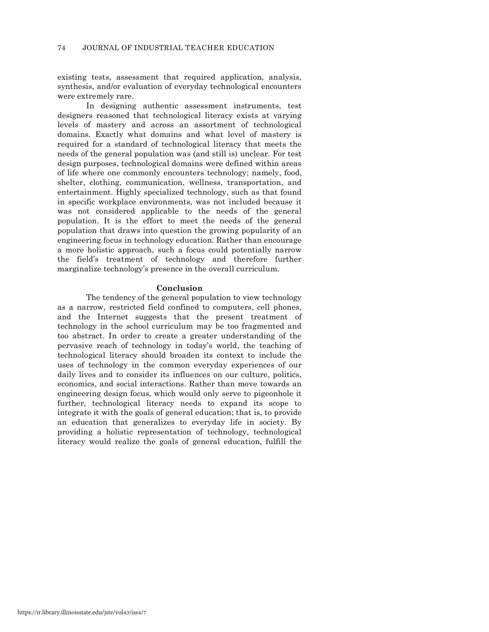existing tests, assessment that required application, analysis, synthesis, and/or evaluation of everyday technological encounters were extremely rare.

In designing authentic assessment instruments, test designers reasoned that technological literacy exists at varying levels of mastery and across an assortment of technological domains. Exactly what domains and what level of mastery is required for a standard of technological literacy that meets the needs of the general population was (and still is) unclear. For test design purposes, technological domains were defined within areas of life where one commonly encounters technology; namely, food, shelter, clothing, communication, wellness, transportation, and entertainment. Highly specialized technology, such as that found in specific workplace environments, was not included because it was not considered applicable to the needs of the general population. It is the effort to meet the needs of the general population that draws into question the growing popularity of an engineering focus in technology education. Rather than encourage a more holistic approach, such a focus could potentially narrow the field's treatment of technology and therefore further marginalize technology's presence in the overall curriculum.

#### **Conclusion**

The tendency of the general population to view technology as a narrow, restricted field confined to computers, cell phones, and the Internet suggests that the present treatment of technology in the school curriculum may be too fragmented and too abstract. In order to create a greater understanding of the pervasive reach of technology in today's world, the teaching of technological literacy should broaden its context to include the uses of technology in the common everyday experiences of our daily lives and to consider its influences on our culture, politics, economics, and social interactions. Rather than move towards an engineering design focus, which would only serve to pigeonhole it further, technological literacy needs to expand its scope to integrate it with the goals of general education; that is, to provide an education that generalizes to everyday life in society. By providing a holistic representation of technology, technological literacy would realize the goals of general education, fulfill the